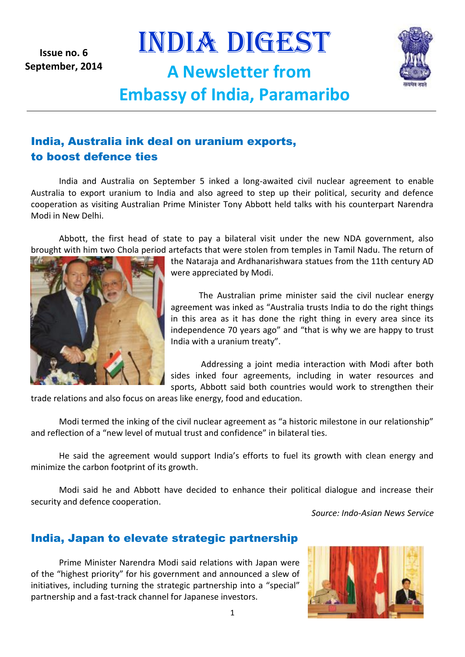**Issue no. 6 September, 2014** INDIA DIGEST

**A Newsletter from** 



# **Embassy of India, Paramaribo**

# India, Australia ink deal on uranium exports, to boost defence ties

India and Australia on September 5 inked a long-awaited civil nuclear agreement to enable Australia to export uranium to India and also agreed to step up their political, security and defence cooperation as visiting Australian Prime Minister Tony Abbott held talks with his counterpart Narendra Modi in New Delhi.

Abbott, the first head of state to pay a bilateral visit under the new NDA government, also brought with him two Chola period artefacts that were stolen from temples in Tamil Nadu. The return of



the Nataraja and Ardhanarishwara statues from the 11th century AD were appreciated by Modi.

The Australian prime minister said the civil nuclear energy agreement was inked as "Australia trusts India to do the right things in this area as it has done the right thing in every area since its independence 70 years ago" and "that is why we are happy to trust India with a uranium treaty".

Addressing a joint media interaction with Modi after both sides inked four agreements, including in water resources and sports, Abbott said both countries would work to strengthen their

trade relations and also focus on areas like energy, food and education.

Modi termed the inking of the civil nuclear agreement as "a historic milestone in our relationship" and reflection of a "new level of mutual trust and confidence" in bilateral ties.

He said the agreement would support India's efforts to fuel its growth with clean energy and minimize the carbon footprint of its growth.

Modi said he and Abbott have decided to enhance their political dialogue and increase their security and defence cooperation.

*Source: Indo-Asian News Service*

# India, Japan to elevate strategic partnership

Prime Minister Narendra Modi said relations with Japan were of the "highest priority" for his government and announced a slew of initiatives, including turning the strategic partnership into a "special" partnership and a fast-track channel for Japanese investors.

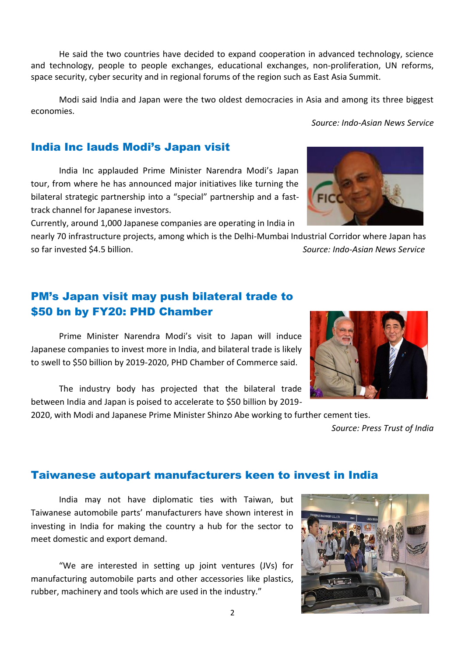2

He said the two countries have decided to expand cooperation in advanced technology, science and technology, people to people exchanges, educational exchanges, non-proliferation, UN reforms, space security, cyber security and in regional forums of the region such as East Asia Summit.

Modi said India and Japan were the two oldest democracies in Asia and among its three biggest economies.

#### India Inc lauds Modi's Japan visit

India Inc applauded Prime Minister Narendra Modi's Japan tour, from where he has announced major initiatives like turning the bilateral strategic partnership into a "special" partnership and a fasttrack channel for Japanese investors.

Currently, around 1,000 Japanese companies are operating in India in

nearly 70 infrastructure projects, among which is the Delhi-Mumbai Industrial Corridor where Japan has so far invested \$4.5 billion. *Source: Indo-Asian News Service*

# PM's Japan visit may push bilateral trade to \$50 bn by FY20: PHD Chamber

Prime Minister Narendra Modi's visit to Japan will induce Japanese companies to invest more in India, and bilateral trade is likely to swell to \$50 billion by 2019-2020, PHD Chamber of Commerce said.

The industry body has projected that the bilateral trade between India and Japan is poised to accelerate to \$50 billion by 2019-

2020, with Modi and Japanese Prime Minister Shinzo Abe working to further cement ties.

# Taiwanese autopart manufacturers keen to invest in India

India may not have diplomatic ties with Taiwan, but Taiwanese automobile parts' manufacturers have shown interest in investing in India for making the country a hub for the sector to meet domestic and export demand.

"We are interested in setting up joint ventures (JVs) for manufacturing automobile parts and other accessories like plastics, rubber, machinery and tools which are used in the industry."



 *Source: Indo-Asian News Service*



*Source: Press Trust of India*

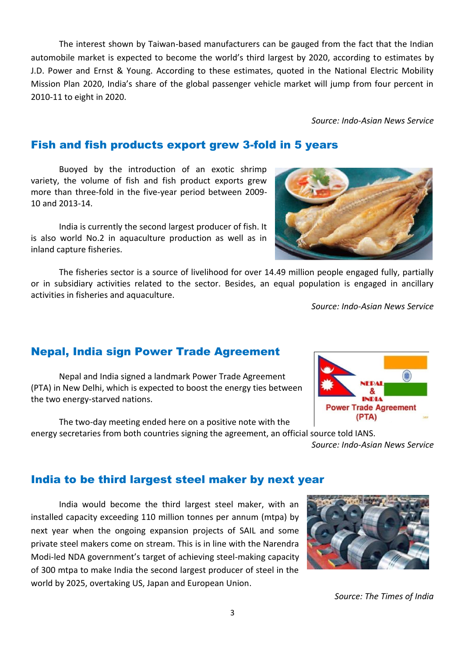The interest shown by Taiwan-based manufacturers can be gauged from the fact that the Indian automobile market is expected to become the world's third largest by 2020, according to estimates by J.D. Power and Ernst & Young. According to these estimates, quoted in the National Electric Mobility Mission Plan 2020, India's share of the global passenger vehicle market will jump from four percent in 2010-11 to eight in 2020.

 *Source: Indo-Asian News Service*

# Fish and fish products export grew 3-fold in 5 years

Buoyed by the introduction of an exotic shrimp variety, the volume of fish and fish product exports grew more than three-fold in the five-year period between 2009- 10 and 2013-14.

India is currently the second largest producer of fish. It is also world No.2 in aquaculture production as well as in inland capture fisheries.

The fisheries sector is a source of livelihood for over 14.49 million people engaged fully, partially or in subsidiary activities related to the sector. Besides, an equal population is engaged in ancillary activities in fisheries and aquaculture.

*Source: Indo-Asian News Service*

# Nepal, India sign Power Trade Agreement

Nepal and India signed a landmark Power Trade Agreement (PTA) in New Delhi, which is expected to boost the energy ties between the two energy-starved nations.

The two-day meeting ended here on a positive note with the energy secretaries from both countries signing the agreement, an official source told IANS.

#### India to be third largest steel maker by next year

India would become the third largest steel maker, with an installed capacity exceeding 110 million tonnes per annum (mtpa) by next year when the ongoing expansion projects of SAIL and some private steel makers come on stream. This is in line with the Narendra Modi-led NDA government's target of achieving steel-making capacity of 300 mtpa to make India the second largest producer of steel in the world by 2025, overtaking US, Japan and European Union.

*Source: The Times of India*





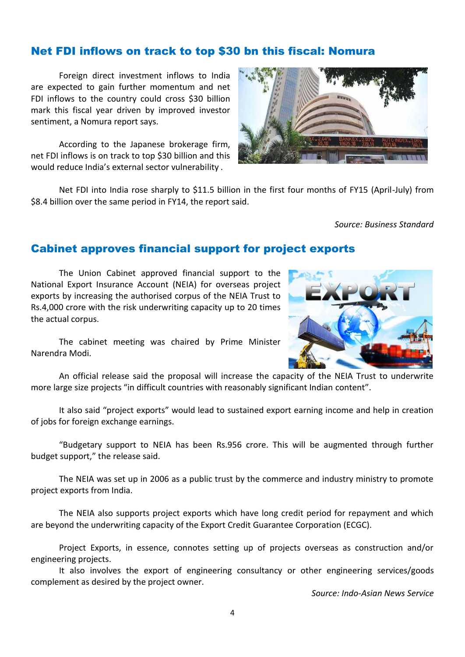#### 4

Net FDI inflows on track to top \$30 bn this fiscal: Nomura

Foreign direct investment inflows to India are expected to gain further momentum and net FDI inflows to the country could cross \$30 billion mark this fiscal year driven by improved investor sentiment, a Nomura report says.

According to the Japanese brokerage firm, net FDI inflows is on track to top \$30 billion and this would reduce India's external sector vulnerability .

Net FDI into India rose sharply to \$11.5 billion in the first four months of FY15 (April-July) from \$8.4 billion over the same period in FY14, the report said.

*Source: Business Standard*

#### Cabinet approves financial support for project exports

The Union Cabinet approved financial support to the National Export Insurance Account (NEIA) for overseas project exports by increasing the authorised corpus of the NEIA Trust to Rs.4,000 crore with the risk underwriting capacity up to 20 times the actual corpus.

The cabinet meeting was chaired by Prime Minister Narendra Modi.

An official release said the proposal will increase the capacity of the NEIA Trust to underwrite more large size projects "in difficult countries with reasonably significant Indian content".

It also said "project exports" would lead to sustained export earning income and help in creation of jobs for foreign exchange earnings.

"Budgetary support to NEIA has been Rs.956 crore. This will be augmented through further budget support," the release said.

The NEIA was set up in 2006 as a public trust by the commerce and industry ministry to promote project exports from India.

The NEIA also supports project exports which have long credit period for repayment and which are beyond the underwriting capacity of the Export Credit Guarantee Corporation (ECGC).

Project Exports, in essence, connotes setting up of projects overseas as construction and/or engineering projects.

It also involves the export of engineering consultancy or other engineering services/goods complement as desired by the project owner.

*Source: Indo-Asian News Service*



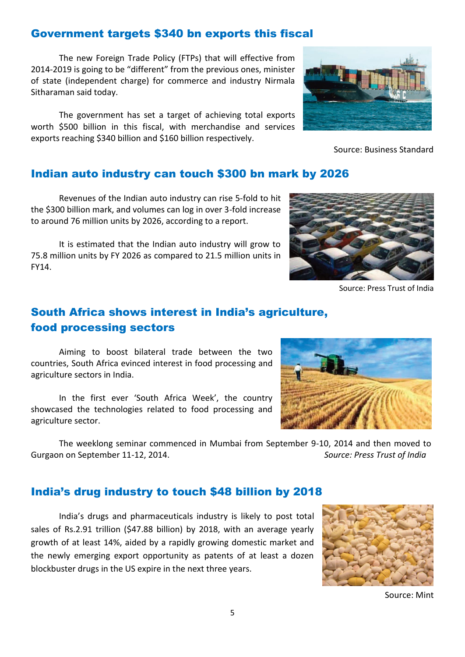# Government targets \$340 bn exports this fiscal

The new Foreign Trade Policy (FTPs) that will effective from 2014-2019 is going to be "different" from the previous ones, minister of state (independent charge) for commerce and industry Nirmala Sitharaman said today.

The government has set a target of achieving total exports worth \$500 billion in this fiscal, with merchandise and services exports reaching \$340 billion and \$160 billion respectively.



Source: Business Standard

#### Indian auto industry can touch \$300 bn mark by 2026

Revenues of the Indian auto industry can rise 5-fold to hit the \$300 billion mark, and volumes can log in over 3-fold increase to around 76 million units by 2026, according to a report.

It is estimated that the Indian auto industry will grow to 75.8 million units by FY 2026 as compared to 21.5 million units in FY14.



Source: Press Trust of India

# South Africa shows interest in India's agriculture, food processing sectors

Aiming to boost bilateral trade between the two countries, South Africa evinced interest in food processing and agriculture sectors in India.

In the first ever 'South Africa Week', the country showcased the technologies related to food processing and agriculture sector.

The weeklong seminar commenced in Mumbai from September 9-10, 2014 and then moved to Gurgaon on September 11-12, 2014. *Source: Press Trust of India*

#### India's drug industry to touch \$48 billion by 2018

India's drugs and pharmaceuticals industry is likely to post total sales of Rs.2.91 trillion (\$47.88 billion) by 2018, with an average yearly growth of at least 14%, aided by a rapidly growing domestic market and the newly emerging export opportunity as patents of at least a dozen blockbuster drugs in the US expire in the next three years.



Source: Mint

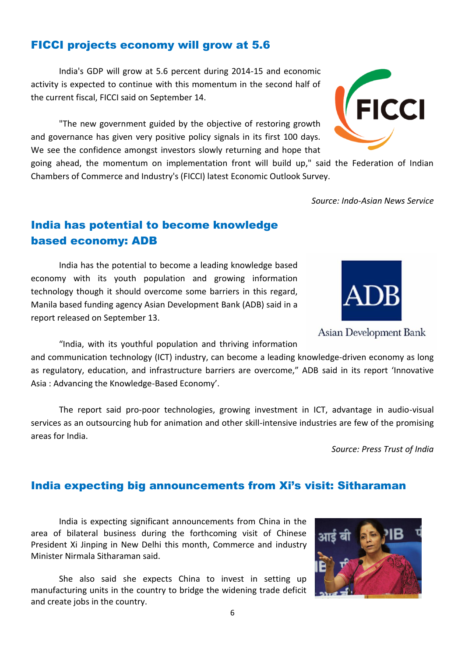# FICCI projects economy will grow at 5.6

India's GDP will grow at 5.6 percent during 2014-15 and economic activity is expected to continue with this momentum in the second half of the current fiscal, FICCI said on September 14.

"The new government guided by the objective of restoring growth and governance has given very positive policy signals in its first 100 days. We see the confidence amongst investors slowly returning and hope that

going ahead, the momentum on implementation front will build up," said the Federation of Indian Chambers of Commerce and Industry's (FICCI) latest Economic Outlook Survey.

*Source: Indo-Asian News Service*

# India has potential to become knowledge based economy: ADB

India has the potential to become a leading knowledge based economy with its youth population and growing information technology though it should overcome some barriers in this regard, Manila based funding agency Asian Development Bank (ADB) said in a report released on September 13.

"India, with its youthful population and thriving information and communication technology (ICT) industry, can become a leading knowledge-driven economy as long as regulatory, education, and infrastructure barriers are overcome," ADB said in its report 'Innovative Asia : Advancing the Knowledge-Based Economy'.

The report said pro-poor technologies, growing investment in ICT, advantage in audio-visual services as an outsourcing hub for animation and other skill-intensive industries are few of the promising areas for India.

*Source: Press Trust of India*

# India expecting big announcements from Xi's visit: Sitharaman

India is expecting significant announcements from China in the area of bilateral business during the forthcoming visit of Chinese President Xi Jinping in New Delhi this month, Commerce and industry Minister Nirmala Sitharaman said.

She also said she expects China to invest in setting up manufacturing units in the country to bridge the widening trade deficit and create jobs in the country.





Asian Development Bank

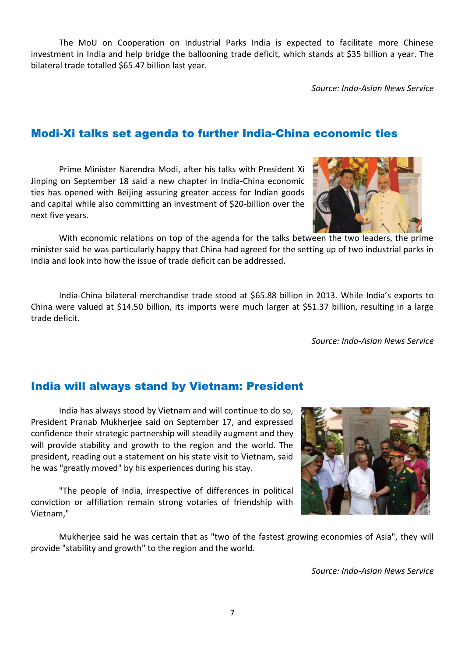The MoU on Cooperation on Industrial Parks India is expected to facilitate more Chinese investment in India and help bridge the ballooning trade deficit, which stands at \$35 billion a year. The bilateral trade totalled \$65.47 billion last year.

*Source: Indo-Asian News Service*

# Modi-Xi talks set agenda to further India-China economic ties

Prime Minister Narendra Modi, after his talks with President Xi Jinping on September 18 said a new chapter in India-China economic ties has opened with Beijing assuring greater access for Indian goods and capital while also committing an investment of \$20-billion over the next five years.

With economic relations on top of the agenda for the talks between the two leaders, the prime minister said he was particularly happy that China had agreed for the setting up of two industrial parks in India and look into how the issue of trade deficit can be addressed.

India-China bilateral merchandise trade stood at \$65.88 billion in 2013. While India's exports to China were valued at \$14.50 billion, its imports were much larger at \$51.37 billion, resulting in a large trade deficit.

*Source: Indo-Asian News Service*

# India will always stand by Vietnam: President

India has always stood by Vietnam and will continue to do so, President Pranab Mukherjee said on September 17, and expressed confidence their strategic partnership will steadily augment and they will provide stability and growth to the region and the world. The president, reading out a statement on his state visit to Vietnam, said he was "greatly moved" by his experiences during his stay.

"The people of India, irrespective of differences in political conviction or affiliation remain strong votaries of friendship with Vietnam,"

Mukherjee said he was certain that as "two of the fastest growing economies of Asia", they will provide "stability and growth" to the region and the world.

*Source: Indo-Asian News Service*



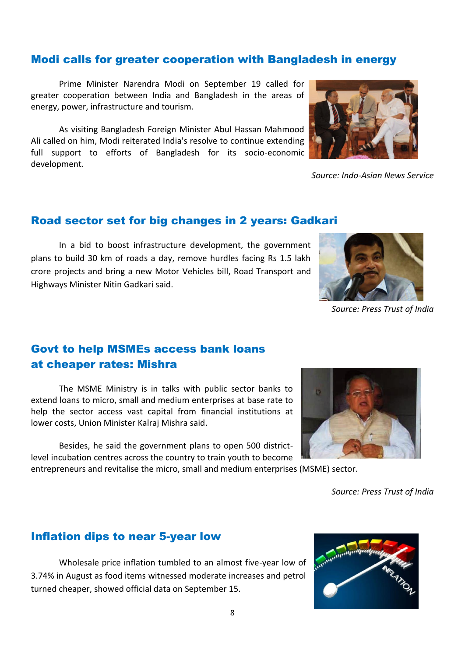#### Modi calls for greater cooperation with Bangladesh in energy

Prime Minister Narendra Modi on September 19 called for greater cooperation between India and Bangladesh in the areas of energy, power, infrastructure and tourism.

As visiting Bangladesh Foreign Minister Abul Hassan Mahmood Ali called on him, Modi reiterated India's resolve to continue extending full support to efforts of Bangladesh for its socio-economic development.



*Source: Indo-Asian News Service*

#### Road sector set for big changes in 2 years: Gadkari

In a bid to boost infrastructure development, the government plans to build 30 km of roads a day, remove hurdles facing Rs 1.5 lakh crore projects and bring a new Motor Vehicles bill, Road Transport and Highways Minister Nitin Gadkari said.



*Source: Press Trust of India*

# Govt to help MSMEs access bank loans at cheaper rates: Mishra

The MSME Ministry is in talks with public sector banks to extend loans to micro, small and medium enterprises at base rate to help the sector access vast capital from financial institutions at lower costs, Union Minister Kalraj Mishra said.

Besides, he said the government plans to open 500 districtlevel incubation centres across the country to train youth to become

entrepreneurs and revitalise the micro, small and medium enterprises (MSME) sector.



*Source: Press Trust of India*

#### Inflation dips to near 5-year low

Wholesale price inflation tumbled to an almost five-year low of 3.74% in August as food items witnessed moderate increases and petrol turned cheaper, showed official data on September 15.

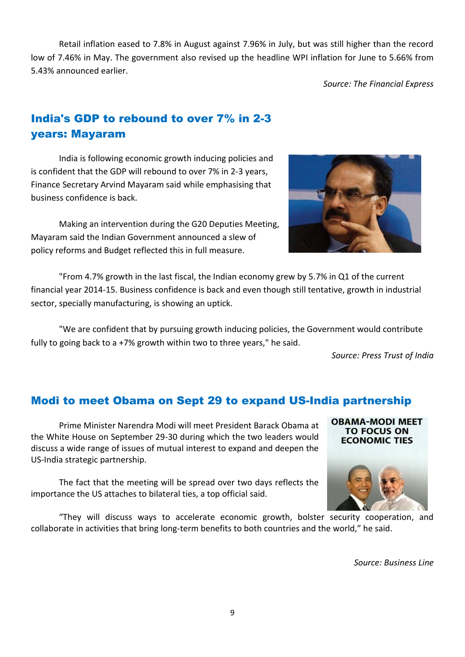Retail inflation eased to 7.8% in August against 7.96% in July, but was still higher than the record low of 7.46% in May. The government also revised up the headline WPI inflation for June to 5.66% from 5.43% announced earlier.

*Source: The Financial Express*

# India's GDP to rebound to over 7% in 2-3 years: Mayaram

India is following economic growth inducing policies and is confident that the GDP will rebound to over 7% in 2-3 years, Finance Secretary Arvind Mayaram said while emphasising that business confidence is back.

Making an intervention during the G20 Deputies Meeting, Mayaram said the Indian Government announced a slew of policy reforms and Budget reflected this in full measure.

"From 4.7% growth in the last fiscal, the Indian economy grew by 5.7% in Q1 of the current financial year 2014-15. Business confidence is back and even though still tentative, growth in industrial sector, specially manufacturing, is showing an uptick.

"We are confident that by pursuing growth inducing policies, the Government would contribute fully to going back to a +7% growth within two to three years," he said.

*Source: Press Trust of India*

**OBAMA-MODI MEET TO FOCUS ON ECONOMIC TIES** 

# Modi to meet Obama on Sept 29 to expand US-India partnership

Prime Minister Narendra Modi will meet President Barack Obama at the White House on September 29-30 during which the two leaders would discuss a wide range of issues of mutual interest to expand and deepen the US-India strategic partnership.

The fact that the meeting will be spread over two days reflects the importance the US attaches to bilateral ties, a top official said.

"They will discuss ways to accelerate economic growth, bolster security cooperation, and collaborate in activities that bring long-term benefits to both countries and the world," he said.

*Source: Business Line*